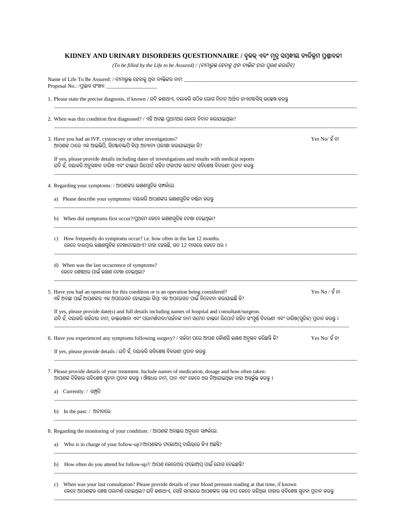## **KIDNEY AND URINARY DISORDERS QUESTIONNAIRE / ବୃକକ୍ଏବଂ ମୂତ୍ର ସମବନ୍ଧୀୟ ବୟତକ୍ରିମ ପ୍ରଶ୍ନାବଳୀ**

*(To be filled by the Life to be Assured) /* (ବୀମାଭୁକ୍ତ ହେବାକୁଥିବା ବୟକ୍ତିଙ୍କ ଦ୍ୱାରା ପୂରଣ କରାଯିବ)

|  | Name of Life To Be Assured: / ବୀମାଭୁକ୍ତ ହେବାକୁ ଥିବା ବ୍ୟକ୍ତିଙ୍କର ନାମ: __<br>Proposal No.: /ପ୍ରସ୍ତାବ ସଂଖ୍ୟା:                                                                                                                                           |                   |  |  |  |  |
|--|------------------------------------------------------------------------------------------------------------------------------------------------------------------------------------------------------------------------------------------------------|-------------------|--|--|--|--|
|  | 1. Please state the precise diagnosis, if known / ଯଦି ଜଣାଥାଏ, ଦୟାକରି ସଠିକ ରୋଗ ନିଦାନ ଅର୍ଥାତ ଡାଏଗ୍ନୋସିସ୍ ଉଲ୍ଲେଖ କରନ୍ତ                                                                                                                                  |                   |  |  |  |  |
|  | 2. When was this condition first diagnosed? / ଏହି ଅବସ୍ଥା ପ୍ରଥମଥର କେବେ ନିଦାନ କରାଯାଇଥିଲା?                                                                                                                                                              |                   |  |  |  |  |
|  | 3. Have you had an IVP, cystoscopy or other investigations?<br>ଆପଶଙ୍କ ଠାରେ ଏକ ଆଇଭିପି, ସିଷ୍ଟୋଷ୍କୋପି କିମ୍ବା ଅନ୍ୟାନ୍ୟ ପରୀକ୍ଷା କରାଯାଇଥିଲା କି?                                                                                                            | $Yes No/$ ହ ଁ ନା  |  |  |  |  |
|  | If yes, please provide details including dates of investigations and results with medical reports<br>ଯଦି ହଁ, ଦିୟାକରି ଅନୁସନ୍ଧାନ ତାରିଖ ଏବଂ ଡାକ୍ତରୀ ରିପୋର୍ଟ ସହିତ ଫଳାଫଳ ସମେତ ସବିଶେଷ ବିବରଣୀ ପ୍ରଦାନ କିରନ୍ତୁ                                                |                   |  |  |  |  |
|  | 4. Regarding your symptoms: / ଆପଶଙ୍କର ଲକ୍ଷଣଗୁଡିକ ସମ୍ପର୍କରେ:                                                                                                                                                                                          |                   |  |  |  |  |
|  | a)   Please describe your symptoms/ ଦୟାକରି ଆପଶଙ୍କର ଲକ୍ଷଶଗୁଡିକ ବର୍ଷନା କରନ୍ତୁ                                                                                                                                                                          |                   |  |  |  |  |
|  | b) When did symptoms first occur?/ପ୍ରଥମେ କେବେ ଲକ୍ଷଶଗୁଡିକ ଦେଖା ଦେଇଥିଲା?                                                                                                                                                                               |                   |  |  |  |  |
|  | How frequently do symptoms occur? i.e. how often in the last 12 months.<br>c)<br>କେତେ ବାରମ୍ବାର ଲକ୍ଷଣଗୁଡିକ ଦେଖାଦେଇଥାଏ? ତାହା ହେଉଛି, ଗତ 12 ମାସରେ କେତେ ଥର ।                                                                                              |                   |  |  |  |  |
|  | d) When was the last occurrence of symptoms?<br>କେବେ ଶେଷଥର ପାଇଁ ଲକ୍ଷଣ ଦେଖା ଦେଇଥିଲା?                                                                                                                                                                  |                   |  |  |  |  |
|  | 5. Have you had an operation for this condition or is an operation being considered?<br>ଏହି ଅବସ୍ଥା ପାଇଁ ଆପଶଙ୍କର ଏକ ଅପରେସନ ହୋଇଥିଲା କିମ୍ବା ଏକ ଅପରେସନ ପାଇଁ ବିବେଚନା କରାଯାଇଛି କି?                                                                         | $Yes No / 2$ ଁ ନା |  |  |  |  |
|  | If yes, please provide date(s) and full details including names of hospital and consultant/surgeon.<br>ଯଦି ହଁ, ଦୟାକରି ସର୍କରୀର ନାମ, ଡାକ୍ତରଖାନା ଏବଂ ପରାମର୍ଶଦାତା/ସର୍କନଙ୍କ ନାମ ସମେତ ଡାକ୍ତରୀ ରିପୋର୍ଟ ସହିତ ସଂପୂର୍ଷ ବିବରଣୀ ଏବଂ ତାରିଖ(ଗୁଡିକ) ପ୍ରଦାନ କରନ୍ତୁ । |                   |  |  |  |  |
|  | 6. Have you experienced any symptoms following surgery? / ସର୍କରୀ ପରେ ଆପଶ କୌଶସି ଲକ୍ଷଣ ଅନୁଭବ କରିଛନ୍ତି କି?                                                                                                                                              | $Yes No/$ ହ ଁ ନା  |  |  |  |  |
|  | If yes, please provide details / ଯଦି ହଁ, ଦୟାକରି ସବିଶେଷ ବିବରଣୀ ପ୍ରଦାନ କରନ୍ତୁ                                                                                                                                                                          |                   |  |  |  |  |
|  | 7. Please provide details of your treatment. Include names of medication, dosage and how often taken:<br>ଆପଶଙ୍କ ଚିକିହାର ସବିଶେଷ ସ୍ୱଚନା ପ୍ରଦାନ କରନ୍ତୁ । ଔଷଧର ନାମ, ପାନ ଏବଂ କେତେ ଥର ନିଆଯାଇଥିଲା ତାହା ଅନ୍ତର୍ଭୁକ୍ତ କରନ୍ତୁ ।                                 |                   |  |  |  |  |
|  | Currently: / ସମ୍ପ୍ରତି:<br>a)                                                                                                                                                                                                                         |                   |  |  |  |  |
|  | In the past: / ଅତୀତରେ:<br>b)                                                                                                                                                                                                                         |                   |  |  |  |  |
|  | 8. Regarding the monitoring of your condition: / ଆପଶଙ୍କ ଅବସ୍ଥାର ଅନୁଧାନ ସମ୍ପର୍କରେ:                                                                                                                                                                    |                   |  |  |  |  |
|  | Who is in charge of your follow-up?/ଆପଶଙ୍କର ପଲୋଅପ୍ ଦାୟିତ୍ୱରେ କିଏ ଅଛନ୍ତି?<br>a)                                                                                                                                                                       |                   |  |  |  |  |
|  | How often do you attend for follow-up?/ ଆପଶ କେତେଥର ଫଲୋଅପ୍ ପାଇଁ ଯୋଗ ଦେଇଛନ୍ତି?<br>b)                                                                                                                                                                   |                   |  |  |  |  |
|  | When was your last consultation? Please provide details of your blood pressure reading at that time, if known<br>C)                                                                                                                                  |                   |  |  |  |  |

କେବେ ଆପଣଙ୍କର ଶେଷ ପରାମର୍ଶ ହୋଇଥିଲା? ଯଦି ଜଣାଥାଏ, ସେହି ସମୟରେ ଆପଣଙ୍କର ରକ୍ତ ଚାପ କେତେ ରହିଥିଲା ତାହାର ସବିଶେଷ ସୂଚନା ପ୍ରଦାନ କରନ୍ତୁ  $\_$  ,  $\_$  ,  $\_$  ,  $\_$  ,  $\_$  ,  $\_$  ,  $\_$  ,  $\_$  ,  $\_$  ,  $\_$  ,  $\_$  ,  $\_$  ,  $\_$  ,  $\_$  ,  $\_$  ,  $\_$  ,  $\_$  ,  $\_$  ,  $\_$  ,  $\_$  ,  $\_$  ,  $\_$  ,  $\_$  ,  $\_$  ,  $\_$  ,  $\_$  ,  $\_$  ,  $\_$  ,  $\_$  ,  $\_$  ,  $\_$  ,  $\_$  ,  $\_$  ,  $\_$  ,  $\_$  ,  $\_$  ,  $\_$  ,